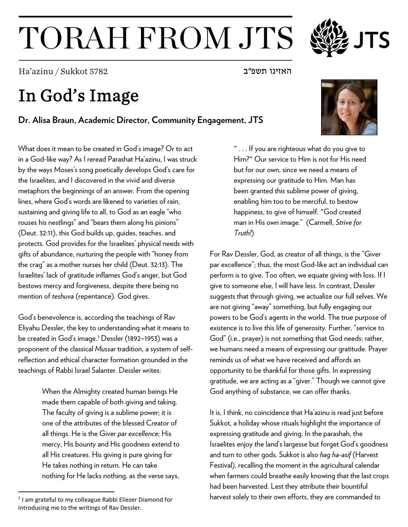## TORAH FROM JTS

האזינו תשפ"ב 5782 Ha'azinu / Sukkot 5782

## In God's Image

**Dr. Alisa Braun, Academic Director, Community Engagement, JTS**

What does it mean to be created in God's image? Or to act in a God-like way? As I reread Parashat Ha'azinu, I was struck by the ways Moses's song poetically develops God's care for the Israelites, and I discovered in the vivid and diverse metaphors the beginnings of an answer. From the opening lines, where God's words are likened to varieties of rain, sustaining and giving life to all, to God as an eagle "who rouses his nestlings" and "bears them along his pinions" (Deut. 32:11), this God builds up, guides, teaches, and protects. God provides for the Israelites' physical needs with gifts of abundance, nurturing the people with "honey from the crag" as a mother nurses her child (Deut. 32:13). The Israelites' lack of gratitude inflames God's anger, but God bestows mercy and forgiveness, despite there being no mention of *teshuva* (repentance). God gives.

God's benevolence is, according the teachings of Rav Eliyahu Dessler, the key to understanding what it means to be created in God's image.<sup>[1](#page-0-0)</sup> Dessler (1892-1953) was a proponent of the classical *Mussar* tradition, a system of selfreflection and ethical character formation grounded in the teachings of Rabbi Israel Salanter. Dessler writes:

> When the Almighty created human beings He made them capable of both giving and taking. The faculty of giving is a sublime power; it is one of the attributes of the blessed Creator of all things. He is the Giver *par excellence;* His mercy, His bounty and His goodness extend to all His creatures. His giving is pure giving for He takes nothing in return. He can take nothing for He lacks nothing, as the verse says,

" . . . If you are righteous what do you give to Him?" Our service to Him is not for His need but for our own, since we need a means of expressing our gratitude to Him. Man has been granted this sublime power of giving, enabling him too to be merciful, to bestow happiness, to give of himself. "God created man in His own image." (Carmell, *Strive for Truth!*)

For Rav Dessler, God, as creator of all things, is the "Giver par excellence"; thus, the most God-like act an individual can perform is to give. Too often, we equate giving with loss. If I give to someone else, I will have less. In contrast, Dessler suggests that through giving, we actualize our full selves. We are not giving "away" something, but fully engaging our powers to be God's agents in the world. The true purpose of existence is to live this life of generosity. Further, "service to God" (i.e., prayer) is not something that God needs; rather, we humans need a means of expressing our gratitude. Prayer reminds us of what we have received and affords an opportunity to be thankful for those gifts. In expressing gratitude, we are acting as a "giver." Though we cannot give God anything of substance, we can offer thanks.

It is, I think, no coincidence that Ha'azinu is read just before Sukkot, a holiday whose rituals highlight the importance of expressing gratitude and giving. In the parashah, the Israelites enjoy the land's largesse but forget God's goodness and turn to other gods. Sukkot is also *hag ha-asif* (Harvest Festival), recalling the moment in the agricultural calendar when farmers could breathe easily knowing that the last crops had been harvested. Lest they attribute their bountiful harvest solely to their own efforts, they are commanded to





<span id="page-0-0"></span><sup>&</sup>lt;sup>1</sup> I am grateful to my colleague Rabbi Eliezer Diamond for introducing me to the writings of Rav Dessler.